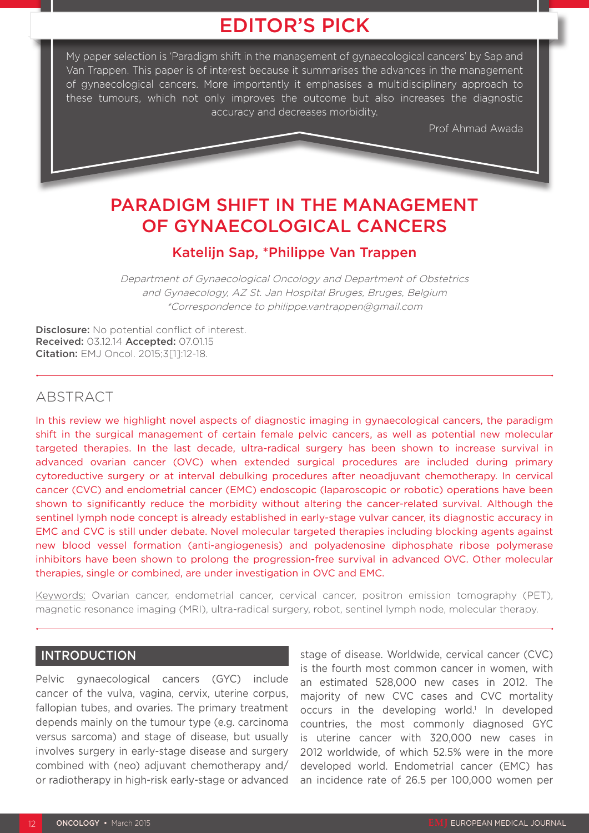# EDITOR'S PICK

My paper selection is 'Paradigm shift in the management of gynaecological cancers' by Sap and Van Trappen. This paper is of interest because it summarises the advances in the management of gynaecological cancers. More importantly it emphasises a multidisciplinary approach to these tumours, which not only improves the outcome but also increases the diagnostic accuracy and decreases morbidity.

Prof Ahmad Awada

# PARADIGM SHIFT IN THE MANAGEMENT OF GYNAECOLOGICAL CANCERS

## Katelijn Sap, \*Philippe Van Trappen

Department of Gynaecological Oncology and Department of Obstetrics and Gynaecology, AZ St. Jan Hospital Bruges, Bruges, Belgium \*Correspondence to philippe.vantrappen@gmail.com

Disclosure: No potential conflict of interest. Received: 03.12.14 Accepted: 07.01.15 Citation: EMJ Oncol. 2015;3[1]:12-18.

## ABSTRACT

In this review we highlight novel aspects of diagnostic imaging in gynaecological cancers, the paradigm shift in the surgical management of certain female pelvic cancers, as well as potential new molecular targeted therapies. In the last decade, ultra-radical surgery has been shown to increase survival in advanced ovarian cancer (OVC) when extended surgical procedures are included during primary cytoreductive surgery or at interval debulking procedures after neoadjuvant chemotherapy. In cervical cancer (CVC) and endometrial cancer (EMC) endoscopic (laparoscopic or robotic) operations have been shown to significantly reduce the morbidity without altering the cancer-related survival. Although the sentinel lymph node concept is already established in early-stage vulvar cancer, its diagnostic accuracy in EMC and CVC is still under debate. Novel molecular targeted therapies including blocking agents against new blood vessel formation (anti-angiogenesis) and polyadenosine diphosphate ribose polymerase inhibitors have been shown to prolong the progression-free survival in advanced OVC. Other molecular therapies, single or combined, are under investigation in OVC and EMC.

Keywords: Ovarian cancer, endometrial cancer, cervical cancer, positron emission tomography (PET), magnetic resonance imaging (MRI), ultra-radical surgery, robot, sentinel lymph node, molecular therapy.

## **INTRODUCTION**

Pelvic gynaecological cancers (GYC) include cancer of the vulva, vagina, cervix, uterine corpus, fallopian tubes, and ovaries. The primary treatment depends mainly on the tumour type (e.g. carcinoma versus sarcoma) and stage of disease, but usually involves surgery in early-stage disease and surgery combined with (neo) adjuvant chemotherapy and/ or radiotherapy in high-risk early-stage or advanced

stage of disease. Worldwide, cervical cancer (CVC) is the fourth most common cancer in women, with an estimated 528,000 new cases in 2012. The majority of new CVC cases and CVC mortality occurs in the developing world.<sup>1</sup> In developed countries, the most commonly diagnosed GYC is uterine cancer with 320,000 new cases in 2012 worldwide, of which 52.5% were in the more developed world. Endometrial cancer (EMC) has an incidence rate of 26.5 per 100,000 women per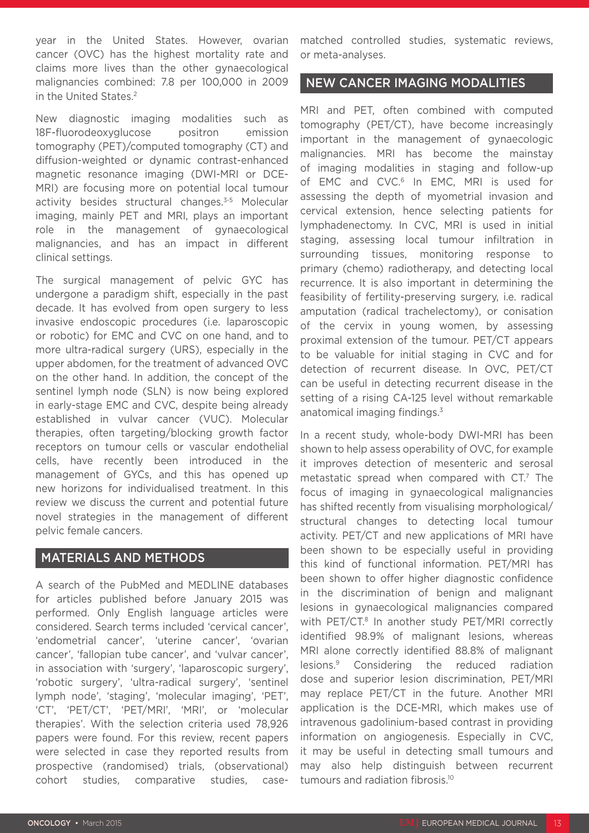year in the United States. However, ovarian cancer (OVC) has the highest mortality rate and claims more lives than the other gynaecological malignancies combined: 7.8 per 100,000 in 2009 in the United States.2

New diagnostic imaging modalities such as 18F-fluorodeoxyglucose positron emission tomography (PET)/computed tomography (CT) and diffusion-weighted or dynamic contrast-enhanced magnetic resonance imaging (DWI-MRI or DCE-MRI) are focusing more on potential local tumour activity besides structural changes.<sup>3-5</sup> Molecular imaging, mainly PET and MRI, plays an important role in the management of gynaecological malignancies, and has an impact in different clinical settings.

The surgical management of pelvic GYC has undergone a paradigm shift, especially in the past decade. It has evolved from open surgery to less invasive endoscopic procedures (i.e. laparoscopic or robotic) for EMC and CVC on one hand, and to more ultra-radical surgery (URS), especially in the upper abdomen, for the treatment of advanced OVC on the other hand. In addition, the concept of the sentinel lymph node (SLN) is now being explored in early-stage EMC and CVC, despite being already established in vulvar cancer (VUC). Molecular therapies, often targeting/blocking growth factor receptors on tumour cells or vascular endothelial cells, have recently been introduced in the management of GYCs, and this has opened up new horizons for individualised treatment. In this review we discuss the current and potential future novel strategies in the management of different pelvic female cancers.

## MATERIALS AND METHODS

A search of the PubMed and MEDLINE databases for articles published before January 2015 was performed. Only English language articles were considered. Search terms included 'cervical cancer', 'endometrial cancer', 'uterine cancer', 'ovarian cancer', 'fallopian tube cancer', and 'vulvar cancer', in association with 'surgery', 'laparoscopic surgery', 'robotic surgery', 'ultra-radical surgery', 'sentinel lymph node', 'staging', 'molecular imaging', 'PET', 'CT', 'PET/CT', 'PET/MRI', 'MRI', or 'molecular therapies'. With the selection criteria used 78,926 papers were found. For this review, recent papers were selected in case they reported results from prospective (randomised) trials, (observational) cohort studies, comparative studies, casematched controlled studies, systematic reviews, or meta-analyses.

## NEW CANCER IMAGING MODALITIES

MRI and PET, often combined with computed tomography (PET/CT), have become increasingly important in the management of gynaecologic malignancies. MRI has become the mainstay of imaging modalities in staging and follow-up of EMC and CVC.<sup>6</sup> In EMC, MRI is used for assessing the depth of myometrial invasion and cervical extension, hence selecting patients for lymphadenectomy. In CVC, MRI is used in initial staging, assessing local tumour infiltration in surrounding tissues, monitoring response to primary (chemo) radiotherapy, and detecting local recurrence. It is also important in determining the feasibility of fertility-preserving surgery, i.e. radical amputation (radical trachelectomy), or conisation of the cervix in young women, by assessing proximal extension of the tumour. PET/CT appears to be valuable for initial staging in CVC and for detection of recurrent disease. In OVC, PET/CT can be useful in detecting recurrent disease in the setting of a rising CA-125 level without remarkable anatomical imaging findings.<sup>3</sup>

In a recent study, whole-body DWI-MRI has been shown to help assess operability of OVC, for example it improves detection of mesenteric and serosal metastatic spread when compared with CT.<sup>7</sup> The focus of imaging in gynaecological malignancies has shifted recently from visualising morphological/ structural changes to detecting local tumour activity. PET/CT and new applications of MRI have been shown to be especially useful in providing this kind of functional information. PET/MRI has been shown to offer higher diagnostic confidence in the discrimination of benign and malignant lesions in gynaecological malignancies compared with PET/CT.<sup>8</sup> In another study PET/MRI correctly identified 98.9% of malignant lesions, whereas MRI alone correctly identified 88.8% of malignant lesions.9 Considering the reduced radiation dose and superior lesion discrimination, PET/MRI may replace PET/CT in the future. Another MRI application is the DCE-MRI, which makes use of intravenous gadolinium-based contrast in providing information on angiogenesis. Especially in CVC, it may be useful in detecting small tumours and may also help distinguish between recurrent tumours and radiation fibrosis.10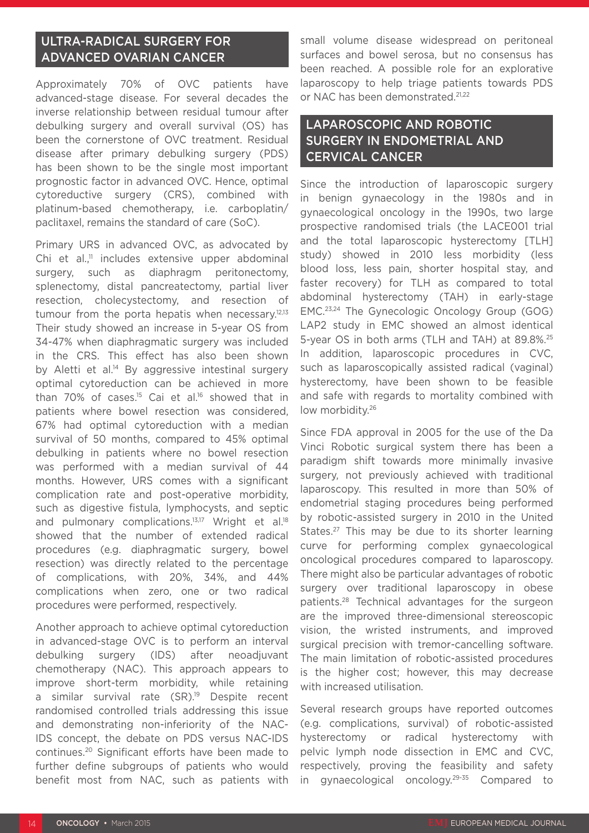# ULTRA-RADICAL SURGERY FOR ADVANCED OVARIAN CANCER

Approximately 70% of OVC patients have advanced-stage disease. For several decades the inverse relationship between residual tumour after debulking surgery and overall survival (OS) has been the cornerstone of OVC treatment. Residual disease after primary debulking surgery (PDS) has been shown to be the single most important prognostic factor in advanced OVC. Hence, optimal cytoreductive surgery (CRS), combined with platinum-based chemotherapy, i.e. carboplatin/ paclitaxel, remains the standard of care (SoC).

Primary URS in advanced OVC, as advocated by Chi et al. $\frac{11}{11}$  includes extensive upper abdominal surgery, such as diaphragm peritonectomy, splenectomy, distal pancreatectomy, partial liver resection, cholecystectomy, and resection of tumour from the porta hepatis when necessary.<sup>12,13</sup> Their study showed an increase in 5-year OS from 34-47% when diaphragmatic surgery was included in the CRS. This effect has also been shown by Aletti et al.<sup>14</sup> By aggressive intestinal surgery optimal cytoreduction can be achieved in more than 70% of cases.<sup>15</sup> Cai et al.<sup>16</sup> showed that in patients where bowel resection was considered, 67% had optimal cytoreduction with a median survival of 50 months, compared to 45% optimal debulking in patients where no bowel resection was performed with a median survival of 44 months. However, URS comes with a significant complication rate and post-operative morbidity, such as digestive fistula, lymphocysts, and septic and pulmonary complications.<sup>13,17</sup> Wright et al.<sup>18</sup> showed that the number of extended radical procedures (e.g. diaphragmatic surgery, bowel resection) was directly related to the percentage of complications, with 20%, 34%, and 44% complications when zero, one or two radical procedures were performed, respectively.

Another approach to achieve optimal cytoreduction in advanced-stage OVC is to perform an interval debulking surgery (IDS) after neoadjuvant chemotherapy (NAC). This approach appears to improve short-term morbidity, while retaining a similar survival rate (SR).<sup>19</sup> Despite recent randomised controlled trials addressing this issue and demonstrating non-inferiority of the NAC-IDS concept, the debate on PDS versus NAC-IDS continues.20 Significant efforts have been made to further define subgroups of patients who would benefit most from NAC, such as patients with

small volume disease widespread on peritoneal surfaces and bowel serosa, but no consensus has been reached. A possible role for an explorative laparoscopy to help triage patients towards PDS or NAC has been demonstrated.<sup>21,22</sup>

# LAPAROSCOPIC AND ROBOTIC SURGERY IN ENDOMETRIAL AND CERVICAL CANCER

Since the introduction of laparoscopic surgery in benign gynaecology in the 1980s and in gynaecological oncology in the 1990s, two large prospective randomised trials (the LACE001 trial and the total laparoscopic hysterectomy [TLH] study) showed in 2010 less morbidity (less blood loss, less pain, shorter hospital stay, and faster recovery) for TLH as compared to total abdominal hysterectomy (TAH) in early-stage EMC.23,24 The Gynecologic Oncology Group (GOG) LAP2 study in EMC showed an almost identical 5-year OS in both arms (TLH and TAH) at 89.8%.<sup>25</sup> In addition, laparoscopic procedures in CVC, such as laparoscopically assisted radical (vaginal) hysterectomy, have been shown to be feasible and safe with regards to mortality combined with low morbidity.26

Since FDA approval in 2005 for the use of the Da Vinci Robotic surgical system there has been a paradigm shift towards more minimally invasive surgery, not previously achieved with traditional laparoscopy. This resulted in more than 50% of endometrial staging procedures being performed by robotic-assisted surgery in 2010 in the United States.<sup>27</sup> This may be due to its shorter learning curve for performing complex gynaecological oncological procedures compared to laparoscopy. There might also be particular advantages of robotic surgery over traditional laparoscopy in obese patients.28 Technical advantages for the surgeon are the improved three-dimensional stereoscopic vision, the wristed instruments, and improved surgical precision with tremor-cancelling software. The main limitation of robotic-assisted procedures is the higher cost; however, this may decrease with increased utilisation.

Several research groups have reported outcomes (e.g. complications, survival) of robotic-assisted hysterectomy or radical hysterectomy with pelvic lymph node dissection in EMC and CVC, respectively, proving the feasibility and safety in gynaecological oncology.29-35 Compared to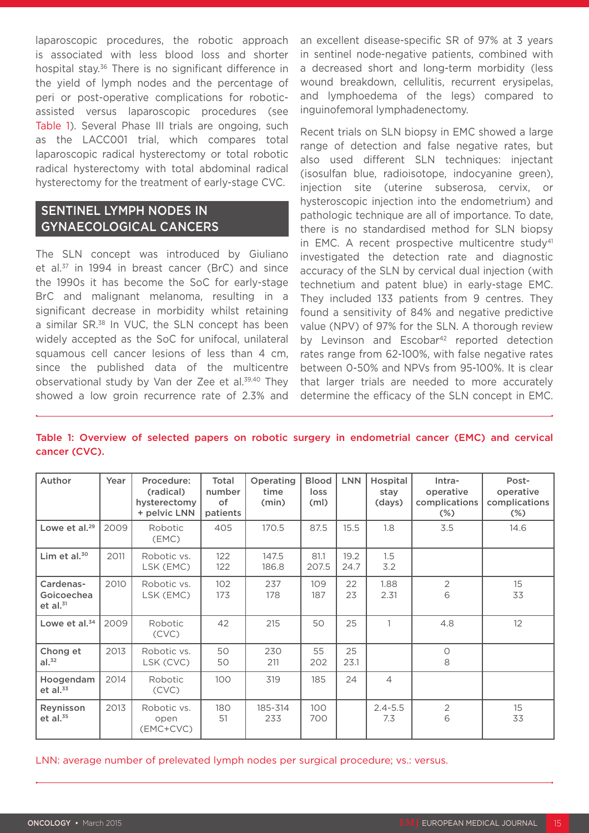laparoscopic procedures, the robotic approach is associated with less blood loss and shorter hospital stay.<sup>36</sup> There is no significant difference in the yield of lymph nodes and the percentage of peri or post-operative complications for roboticassisted versus laparoscopic procedures (see Table 1). Several Phase III trials are ongoing, such as the LACC001 trial, which compares total laparoscopic radical hysterectomy or total robotic radical hysterectomy with total abdominal radical hysterectomy for the treatment of early-stage CVC.

## SENTINEL LYMPH NODES IN GYNAECOLOGICAL CANCERS

The SLN concept was introduced by Giuliano et al.<sup>37</sup> in 1994 in breast cancer (BrC) and since the 1990s it has become the SoC for early-stage BrC and malignant melanoma, resulting in a significant decrease in morbidity whilst retaining a similar SR.38 In VUC, the SLN concept has been widely accepted as the SoC for unifocal, unilateral squamous cell cancer lesions of less than 4 cm, since the published data of the multicentre observational study by Van der Zee et al.<sup>39,40</sup> They showed a low groin recurrence rate of 2.3% and an excellent disease-specific SR of 97% at 3 years in sentinel node-negative patients, combined with a decreased short and long-term morbidity (less wound breakdown, cellulitis, recurrent erysipelas, and lymphoedema of the legs) compared to inguinofemoral lymphadenectomy.

Recent trials on SLN biopsy in EMC showed a large range of detection and false negative rates, but also used different SLN techniques: injectant (isosulfan blue, radioisotope, indocyanine green), injection site (uterine subserosa, cervix, or hysteroscopic injection into the endometrium) and pathologic technique are all of importance. To date, there is no standardised method for SLN biopsy in EMC. A recent prospective multicentre study<sup>41</sup> investigated the detection rate and diagnostic accuracy of the SLN by cervical dual injection (with technetium and patent blue) in early-stage EMC. They included 133 patients from 9 centres. They found a sensitivity of 84% and negative predictive value (NPV) of 97% for the SLN. A thorough review by Levinson and Escobar<sup>42</sup> reported detection rates range from 62-100%, with false negative rates between 0-50% and NPVs from 95-100%. It is clear that larger trials are needed to more accurately determine the efficacy of the SLN concept in EMC.

| Author                                   | Year | Procedure:<br>(radical)<br>hysterectomy<br>+ pelvic LNN | Total<br>number<br>of<br>patients | Operating<br>time<br>(min) | <b>Blood</b><br>loss<br>(m <sub>l</sub> ) | <b>LNN</b>   | Hospital<br>stay<br>(days) | Intra-<br>operative<br>complications<br>$(\%)$ | Post-<br>operative<br>complications<br>$(\%)$ |
|------------------------------------------|------|---------------------------------------------------------|-----------------------------------|----------------------------|-------------------------------------------|--------------|----------------------------|------------------------------------------------|-----------------------------------------------|
| Lowe et al. $29$                         | 2009 | Robotic<br>(EMC)                                        | 405                               | 170.5                      | 87.5                                      | 15.5         | 1.8                        | 3.5                                            | 14.6                                          |
| Lim et al. $30$                          | 2011 | Robotic vs.<br>LSK (EMC)                                | 122<br>122                        | 147.5<br>186.8             | 81.1<br>207.5                             | 19.2<br>24.7 | 1.5<br>3.2                 |                                                |                                               |
| Cardenas-<br>Goicoechea<br>$et$ al. $31$ | 2010 | Robotic vs.<br>LSK (EMC)                                | 102<br>173                        | 237<br>178                 | 109<br>187                                | 22<br>23     | 1.88<br>2.31               | $\overline{2}$<br>6                            | 15<br>33                                      |
| Lowe et al. <sup>34</sup>                | 2009 | Robotic<br>(CVC)                                        | 42                                | 215                        | 50                                        | 25           | 1                          | 4.8                                            | 12                                            |
| Chong et<br>al. <sup>32</sup>            | 2013 | Robotic vs.<br>LSK (CVC)                                | 50<br>50                          | 230<br>211                 | 55<br>202                                 | 25<br>23.1   |                            | $\circ$<br>8                                   |                                               |
| Hoogendam<br>et al. $33$                 | 2014 | Robotic<br>(CVC)                                        | 100                               | 319                        | 185                                       | 24           | $\overline{4}$             |                                                |                                               |
| Reynisson<br>et al. $35$                 | 2013 | Robotic vs.<br>open<br>(EMC+CVC)                        | 180<br>51                         | 185-314<br>233             | 100<br>700                                |              | $2.4 - 5.5$<br>7.3         | $\overline{2}$<br>6                            | 15<br>33                                      |

#### Table 1: Overview of selected papers on robotic surgery in endometrial cancer (EMC) and cervical cancer (CVC).

LNN: average number of prelevated lymph nodes per surgical procedure; vs.: versus.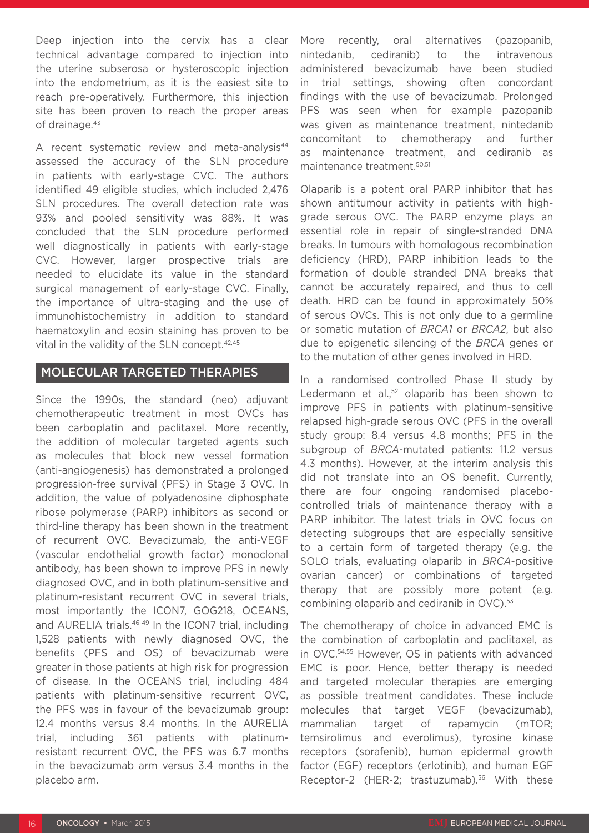Deep injection into the cervix has a clear technical advantage compared to injection into the uterine subserosa or hysteroscopic injection into the endometrium, as it is the easiest site to reach pre-operatively. Furthermore, this injection site has been proven to reach the proper areas of drainage.<sup>43</sup>

A recent systematic review and meta-analysis<sup>44</sup> assessed the accuracy of the SLN procedure in patients with early-stage CVC. The authors identified 49 eligible studies, which included 2,476 SLN procedures. The overall detection rate was 93% and pooled sensitivity was 88%. It was concluded that the SLN procedure performed well diagnostically in patients with early-stage CVC. However, larger prospective trials are needed to elucidate its value in the standard surgical management of early-stage CVC. Finally, the importance of ultra-staging and the use of immunohistochemistry in addition to standard haematoxylin and eosin staining has proven to be vital in the validity of the SLN concept.<sup>42,45</sup>

### MOLECULAR TARGETED THERAPIES

Since the 1990s, the standard (neo) adjuvant chemotherapeutic treatment in most OVCs has been carboplatin and paclitaxel. More recently, the addition of molecular targeted agents such as molecules that block new vessel formation (anti-angiogenesis) has demonstrated a prolonged progression-free survival (PFS) in Stage 3 OVC. In addition, the value of polyadenosine diphosphate ribose polymerase (PARP) inhibitors as second or third-line therapy has been shown in the treatment of recurrent OVC. Bevacizumab, the anti-VEGF (vascular endothelial growth factor) monoclonal antibody, has been shown to improve PFS in newly diagnosed OVC, and in both platinum-sensitive and platinum-resistant recurrent OVC in several trials, most importantly the ICON7, GOG218, OCEANS, and AURELIA trials.<sup>46-49</sup> In the ICON7 trial, including 1,528 patients with newly diagnosed OVC, the benefits (PFS and OS) of bevacizumab were greater in those patients at high risk for progression of disease. In the OCEANS trial, including 484 patients with platinum-sensitive recurrent OVC, the PFS was in favour of the bevacizumab group: 12.4 months versus 8.4 months. In the AURELIA trial, including 361 patients with platinumresistant recurrent OVC, the PFS was 6.7 months in the bevacizumab arm versus 3.4 months in the placebo arm.

More recently, oral alternatives (pazopanib, nintedanib, cediranib) to the intravenous administered bevacizumab have been studied in trial settings, showing often concordant findings with the use of bevacizumab. Prolonged PFS was seen when for example pazopanib was given as maintenance treatment, nintedanib concomitant to chemotherapy and further as maintenance treatment, and cediranib as maintenance treatment.50,51

Olaparib is a potent oral PARP inhibitor that has shown antitumour activity in patients with highgrade serous OVC. The PARP enzyme plays an essential role in repair of single-stranded DNA breaks. In tumours with homologous recombination deficiency (HRD), PARP inhibition leads to the formation of double stranded DNA breaks that cannot be accurately repaired, and thus to cell death. HRD can be found in approximately 50% of serous OVCs. This is not only due to a germline or somatic mutation of *BRCA1* or *BRCA2*, but also due to epigenetic silencing of the *BRCA* genes or to the mutation of other genes involved in HRD.

In a randomised controlled Phase II study by Ledermann et al.,<sup>52</sup> olaparib has been shown to improve PFS in patients with platinum-sensitive relapsed high-grade serous OVC (PFS in the overall study group: 8.4 versus 4.8 months; PFS in the subgroup of *BRCA*-mutated patients: 11.2 versus 4.3 months). However, at the interim analysis this did not translate into an OS benefit. Currently, there are four ongoing randomised placebocontrolled trials of maintenance therapy with a PARP inhibitor. The latest trials in OVC focus on detecting subgroups that are especially sensitive to a certain form of targeted therapy (e.g. the SOLO trials, evaluating olaparib in *BRCA*-positive ovarian cancer) or combinations of targeted therapy that are possibly more potent (e.g. combining olaparib and cediranib in OVC).<sup>53</sup>

The chemotherapy of choice in advanced EMC is the combination of carboplatin and paclitaxel, as in OVC.54,55 However, OS in patients with advanced EMC is poor. Hence, better therapy is needed and targeted molecular therapies are emerging as possible treatment candidates. These include molecules that target VEGF (bevacizumab), mammalian target of rapamycin (mTOR; temsirolimus and everolimus), tyrosine kinase receptors (sorafenib), human epidermal growth factor (EGF) receptors (erlotinib), and human EGF Receptor-2 (HER-2; trastuzumab).<sup>56</sup> With these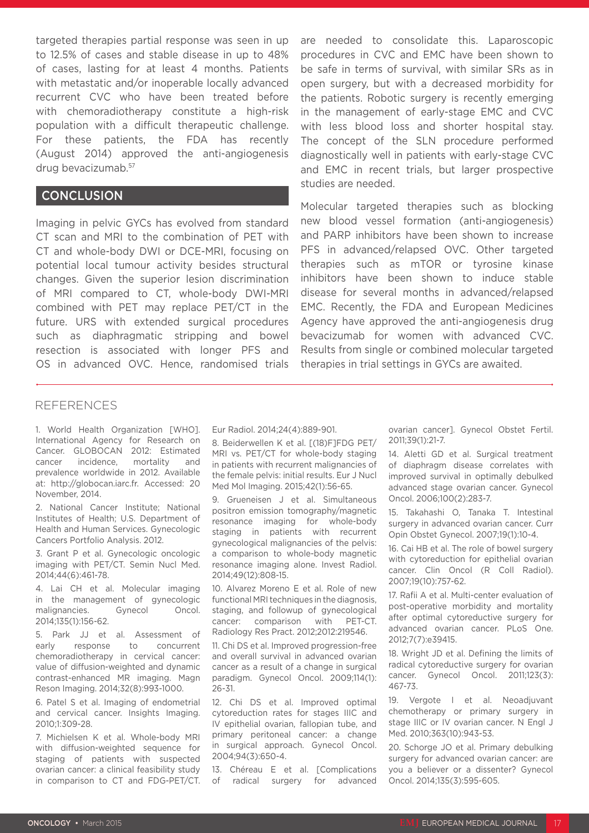targeted therapies partial response was seen in up to 12.5% of cases and stable disease in up to 48% of cases, lasting for at least 4 months. Patients with metastatic and/or inoperable locally advanced recurrent CVC who have been treated before with chemoradiotherapy constitute a high-risk population with a difficult therapeutic challenge. For these patients, the FDA has recently (August 2014) approved the anti-angiogenesis drug bevacizumab.57

## **CONCLUSION**

Imaging in pelvic GYCs has evolved from standard CT scan and MRI to the combination of PET with CT and whole-body DWI or DCE-MRI, focusing on potential local tumour activity besides structural changes. Given the superior lesion discrimination of MRI compared to CT, whole-body DWI-MRI combined with PET may replace PET/CT in the future. URS with extended surgical procedures such as diaphragmatic stripping and bowel resection is associated with longer PFS and OS in advanced OVC. Hence, randomised trials

are needed to consolidate this. Laparoscopic procedures in CVC and EMC have been shown to be safe in terms of survival, with similar SRs as in open surgery, but with a decreased morbidity for the patients. Robotic surgery is recently emerging in the management of early-stage EMC and CVC with less blood loss and shorter hospital stay. The concept of the SLN procedure performed diagnostically well in patients with early-stage CVC and EMC in recent trials, but larger prospective studies are needed.

Molecular targeted therapies such as blocking new blood vessel formation (anti-angiogenesis) and PARP inhibitors have been shown to increase PFS in advanced/relapsed OVC. Other targeted therapies such as mTOR or tyrosine kinase inhibitors have been shown to induce stable disease for several months in advanced/relapsed EMC. Recently, the FDA and European Medicines Agency have approved the anti-angiogenesis drug bevacizumab for women with advanced CVC. Results from single or combined molecular targeted therapies in trial settings in GYCs are awaited.

#### REFERENCES

1. World Health Organization [WHO]. International Agency for Research on Cancer. GLOBOCAN 2012: Estimated cancer incidence, mortality and prevalence worldwide in 2012. Available at: http://globocan.iarc.fr. Accessed: 20 November, 2014.

2. National Cancer Institute; National Institutes of Health; U.S. Department of Health and Human Services. Gynecologic Cancers Portfolio Analysis. 2012.

3. Grant P et al. Gynecologic oncologic imaging with PET/CT. Semin Nucl Med. 2014;44(6):461-78.

4. Lai CH et al. Molecular imaging in the management of gynecologic malignancies. Gynecol Oncol. 2014;135(1):156-62.

5. Park JJ et al. Assessment of early response to concurrent chemoradiotherapy in cervical cancer: value of diffusion-weighted and dynamic contrast-enhanced MR imaging. Magn Reson Imaging. 2014;32(8):993-1000.

6. Patel S et al. Imaging of endometrial and cervical cancer. Insights Imaging. 2010;1:309-28.

7. Michielsen K et al. Whole-body MRI with diffusion-weighted sequence for staging of patients with suspected ovarian cancer: a clinical feasibility study in comparison to CT and FDG-PET/CT. Eur Radiol. 2014;24(4):889-901.

8. Beiderwellen K et al. [(18)F]FDG PET/ MRI vs. PET/CT for whole-body staging in patients with recurrent malignancies of the female pelvis: initial results. Eur J Nucl Med Mol Imaging. 2015;42(1):56-65.

9. Grueneisen J et al. Simultaneous positron emission tomography/magnetic resonance imaging for whole-body staging in patients with recurrent gynecological malignancies of the pelvis: a comparison to whole-body magnetic resonance imaging alone. Invest Radiol. 2014;49(12):808-15.

10. Alvarez Moreno E et al. Role of new functional MRI techniques in the diagnosis, staging, and followup of gynecological cancer: comparison with PET-CT. Radiology Res Pract. 2012;2012:219546.

11. Chi DS et al. Improved progression-free and overall survival in advanced ovarian cancer as a result of a change in surgical paradigm. Gynecol Oncol. 2009;114(1): 26-31.

12. Chi DS et al. Improved optimal cytoreduction rates for stages IIIC and IV epithelial ovarian, fallopian tube, and primary peritoneal cancer: a change in surgical approach. Gynecol Oncol. 2004;94(3):650-4.

13. Chéreau E et al. [Complications of radical surgery for advanced

ovarian cancer]. Gynecol Obstet Fertil. 2011;39(1):21-7.

14. Aletti GD et al. Surgical treatment of diaphragm disease correlates with improved survival in optimally debulked advanced stage ovarian cancer. Gynecol Oncol. 2006;100(2):283-7.

15. Takahashi O, Tanaka T. Intestinal surgery in advanced ovarian cancer. Curr Opin Obstet Gynecol. 2007;19(1):10-4.

16. Cai HB et al. The role of bowel surgery with cytoreduction for epithelial ovarian cancer. Clin Oncol (R Coll Radiol). 2007;19(10):757-62.

17. Rafii A et al. Multi-center evaluation of post-operative morbidity and mortality after optimal cytoreductive surgery for advanced ovarian cancer. PLoS One. 2012;7(7):e39415.

18. Wright JD et al. Defining the limits of radical cytoreductive surgery for ovarian cancer. Gynecol Oncol. 2011;123(3): 467-73.

19. Vergote I et al. Neoadjuvant chemotherapy or primary surgery in stage IIIC or IV ovarian cancer. N Engl J Med. 2010;363(10):943-53.

20. Schorge JO et al. Primary debulking surgery for advanced ovarian cancer: are you a believer or a dissenter? Gynecol Oncol. 2014;135(3):595-605.